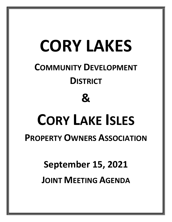# **CORY LAKES**

### **COMMUNITY DEVELOPMENT DISTRICT**

#### **&**

## **CORY LAKE ISLES**

#### **PROPERTY OWNERS ASSOCIATION**

### **September 15, 2021**

#### **JOINT MEETING AGENDA**